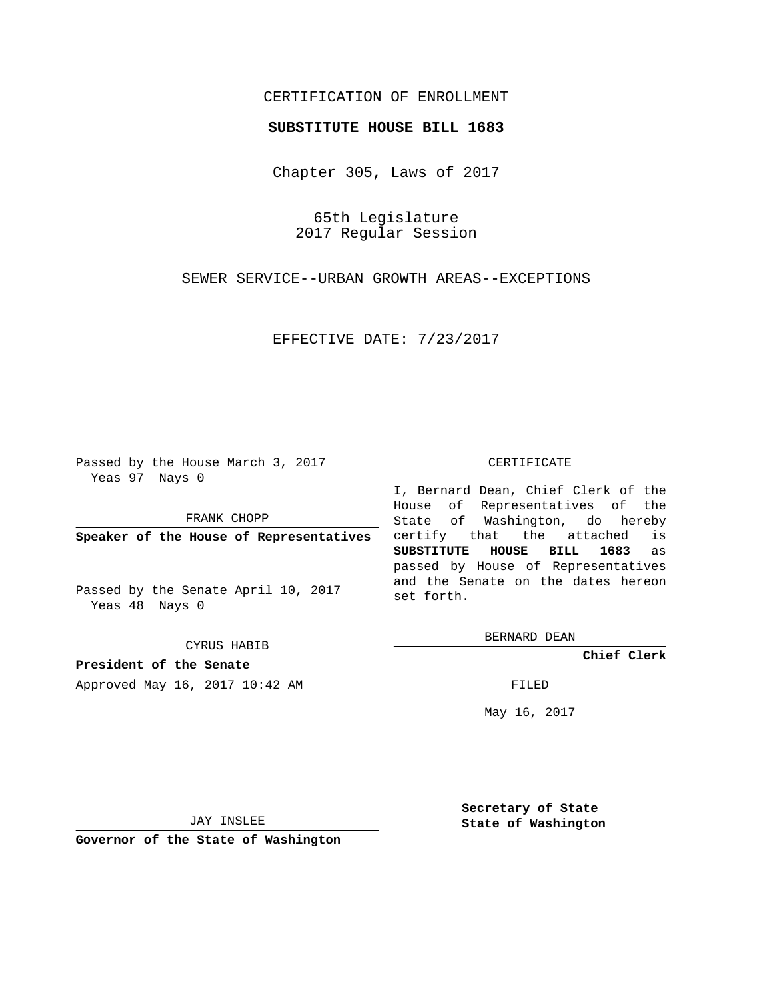## CERTIFICATION OF ENROLLMENT

## **SUBSTITUTE HOUSE BILL 1683**

Chapter 305, Laws of 2017

65th Legislature 2017 Regular Session

SEWER SERVICE--URBAN GROWTH AREAS--EXCEPTIONS

EFFECTIVE DATE: 7/23/2017

Passed by the House March 3, 2017 Yeas 97 Nays 0

FRANK CHOPP

**Speaker of the House of Representatives**

Passed by the Senate April 10, 2017 Yeas 48 Nays 0

CYRUS HABIB

**President of the Senate** Approved May 16, 2017 10:42 AM FILED

## CERTIFICATE

I, Bernard Dean, Chief Clerk of the House of Representatives of the State of Washington, do hereby certify that the attached is **SUBSTITUTE HOUSE BILL 1683** as passed by House of Representatives and the Senate on the dates hereon set forth.

BERNARD DEAN

**Chief Clerk**

May 16, 2017

JAY INSLEE

**Governor of the State of Washington**

**Secretary of State State of Washington**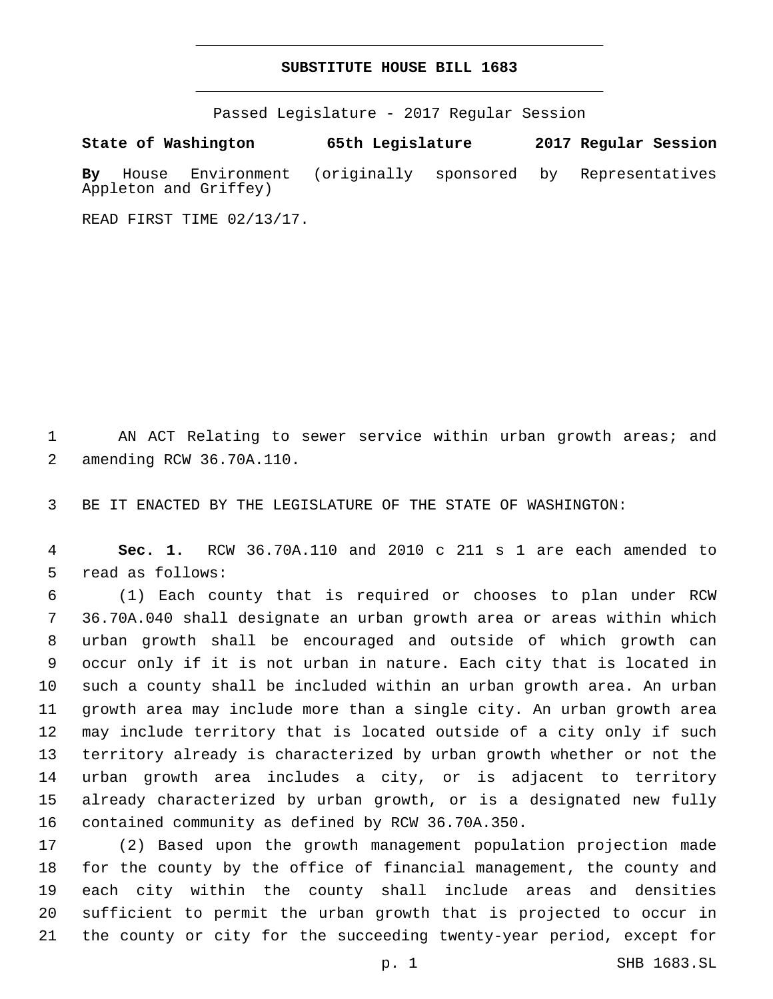## **SUBSTITUTE HOUSE BILL 1683**

Passed Legislature - 2017 Regular Session

**State of Washington 65th Legislature 2017 Regular Session By** House Environment (originally sponsored by Representatives Appleton and Griffey)

READ FIRST TIME 02/13/17.

 AN ACT Relating to sewer service within urban growth areas; and 2 amending RCW 36.70A.110.

BE IT ENACTED BY THE LEGISLATURE OF THE STATE OF WASHINGTON:

 **Sec. 1.** RCW 36.70A.110 and 2010 c 211 s 1 are each amended to 5 read as follows:

 (1) Each county that is required or chooses to plan under RCW 36.70A.040 shall designate an urban growth area or areas within which urban growth shall be encouraged and outside of which growth can occur only if it is not urban in nature. Each city that is located in such a county shall be included within an urban growth area. An urban growth area may include more than a single city. An urban growth area may include territory that is located outside of a city only if such territory already is characterized by urban growth whether or not the urban growth area includes a city, or is adjacent to territory already characterized by urban growth, or is a designated new fully 16 contained community as defined by RCW 36.70A.350.

 (2) Based upon the growth management population projection made for the county by the office of financial management, the county and each city within the county shall include areas and densities sufficient to permit the urban growth that is projected to occur in the county or city for the succeeding twenty-year period, except for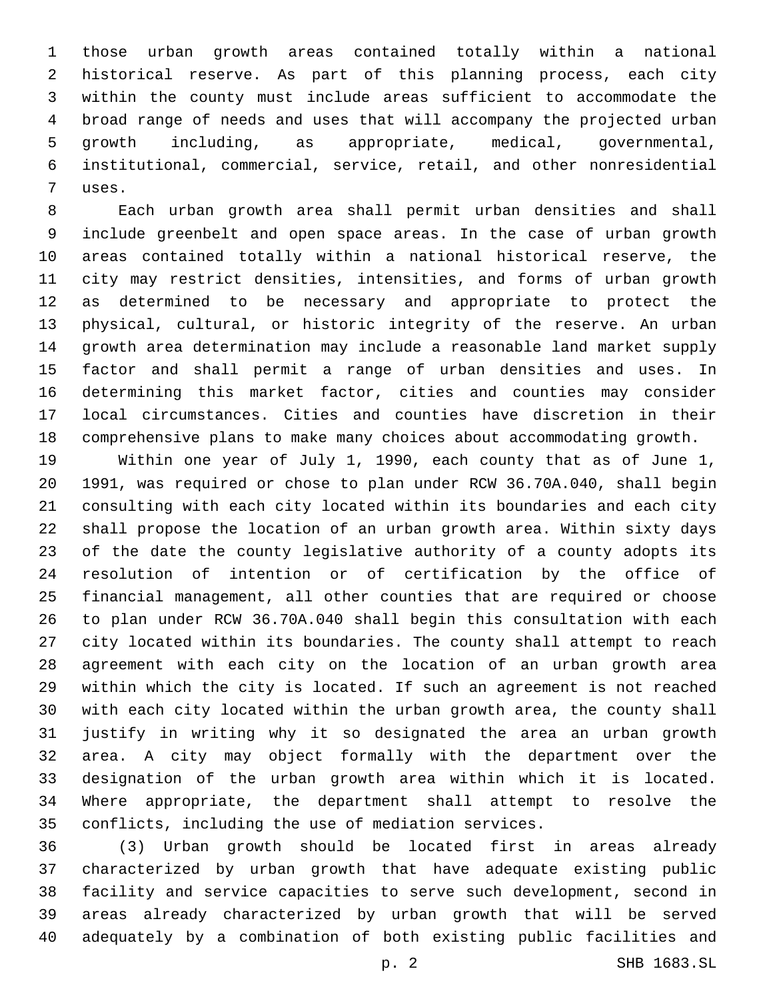those urban growth areas contained totally within a national historical reserve. As part of this planning process, each city within the county must include areas sufficient to accommodate the broad range of needs and uses that will accompany the projected urban growth including, as appropriate, medical, governmental, institutional, commercial, service, retail, and other nonresidential 7 uses.

 Each urban growth area shall permit urban densities and shall include greenbelt and open space areas. In the case of urban growth areas contained totally within a national historical reserve, the city may restrict densities, intensities, and forms of urban growth as determined to be necessary and appropriate to protect the physical, cultural, or historic integrity of the reserve. An urban growth area determination may include a reasonable land market supply factor and shall permit a range of urban densities and uses. In determining this market factor, cities and counties may consider local circumstances. Cities and counties have discretion in their comprehensive plans to make many choices about accommodating growth.

 Within one year of July 1, 1990, each county that as of June 1, 1991, was required or chose to plan under RCW 36.70A.040, shall begin consulting with each city located within its boundaries and each city shall propose the location of an urban growth area. Within sixty days of the date the county legislative authority of a county adopts its resolution of intention or of certification by the office of financial management, all other counties that are required or choose to plan under RCW 36.70A.040 shall begin this consultation with each city located within its boundaries. The county shall attempt to reach agreement with each city on the location of an urban growth area within which the city is located. If such an agreement is not reached with each city located within the urban growth area, the county shall justify in writing why it so designated the area an urban growth area. A city may object formally with the department over the designation of the urban growth area within which it is located. Where appropriate, the department shall attempt to resolve the conflicts, including the use of mediation services.

 (3) Urban growth should be located first in areas already characterized by urban growth that have adequate existing public facility and service capacities to serve such development, second in areas already characterized by urban growth that will be served adequately by a combination of both existing public facilities and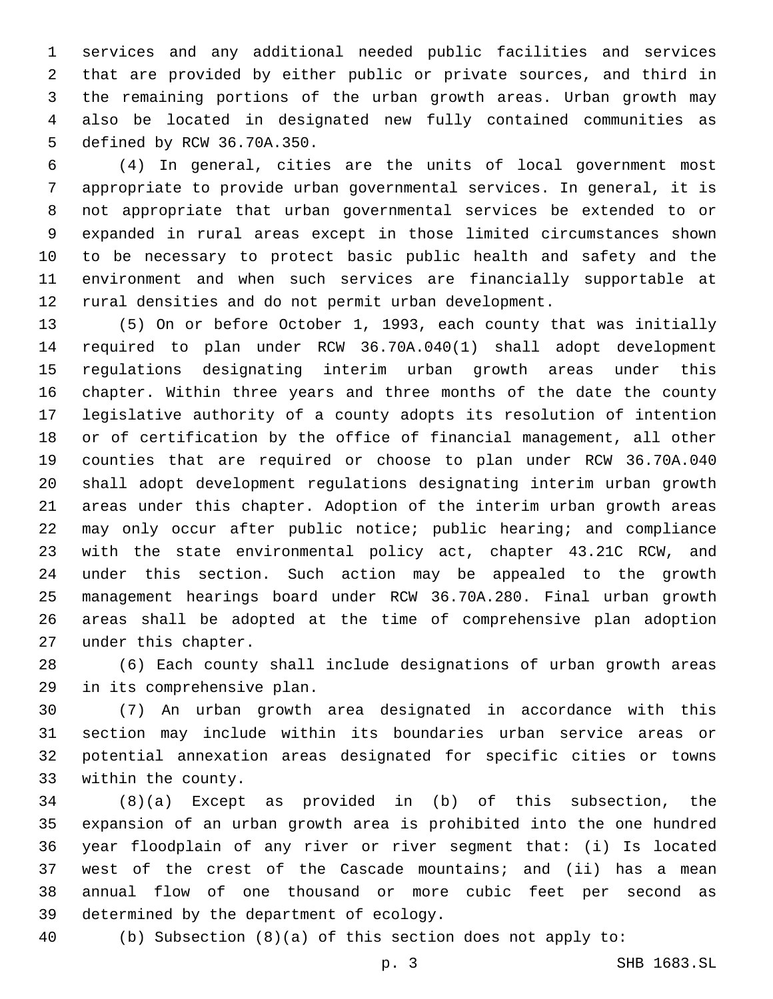services and any additional needed public facilities and services that are provided by either public or private sources, and third in the remaining portions of the urban growth areas. Urban growth may also be located in designated new fully contained communities as 5 defined by RCW 36.70A.350.

 (4) In general, cities are the units of local government most appropriate to provide urban governmental services. In general, it is not appropriate that urban governmental services be extended to or expanded in rural areas except in those limited circumstances shown to be necessary to protect basic public health and safety and the environment and when such services are financially supportable at rural densities and do not permit urban development.

 (5) On or before October 1, 1993, each county that was initially required to plan under RCW 36.70A.040(1) shall adopt development regulations designating interim urban growth areas under this chapter. Within three years and three months of the date the county legislative authority of a county adopts its resolution of intention or of certification by the office of financial management, all other counties that are required or choose to plan under RCW 36.70A.040 shall adopt development regulations designating interim urban growth areas under this chapter. Adoption of the interim urban growth areas may only occur after public notice; public hearing; and compliance with the state environmental policy act, chapter 43.21C RCW, and under this section. Such action may be appealed to the growth management hearings board under RCW 36.70A.280. Final urban growth areas shall be adopted at the time of comprehensive plan adoption 27 under this chapter.

 (6) Each county shall include designations of urban growth areas 29 in its comprehensive plan.

 (7) An urban growth area designated in accordance with this section may include within its boundaries urban service areas or potential annexation areas designated for specific cities or towns 33 within the county.

 (8)(a) Except as provided in (b) of this subsection, the expansion of an urban growth area is prohibited into the one hundred year floodplain of any river or river segment that: (i) Is located west of the crest of the Cascade mountains; and (ii) has a mean annual flow of one thousand or more cubic feet per second as 39 determined by the department of ecology.

(b) Subsection (8)(a) of this section does not apply to: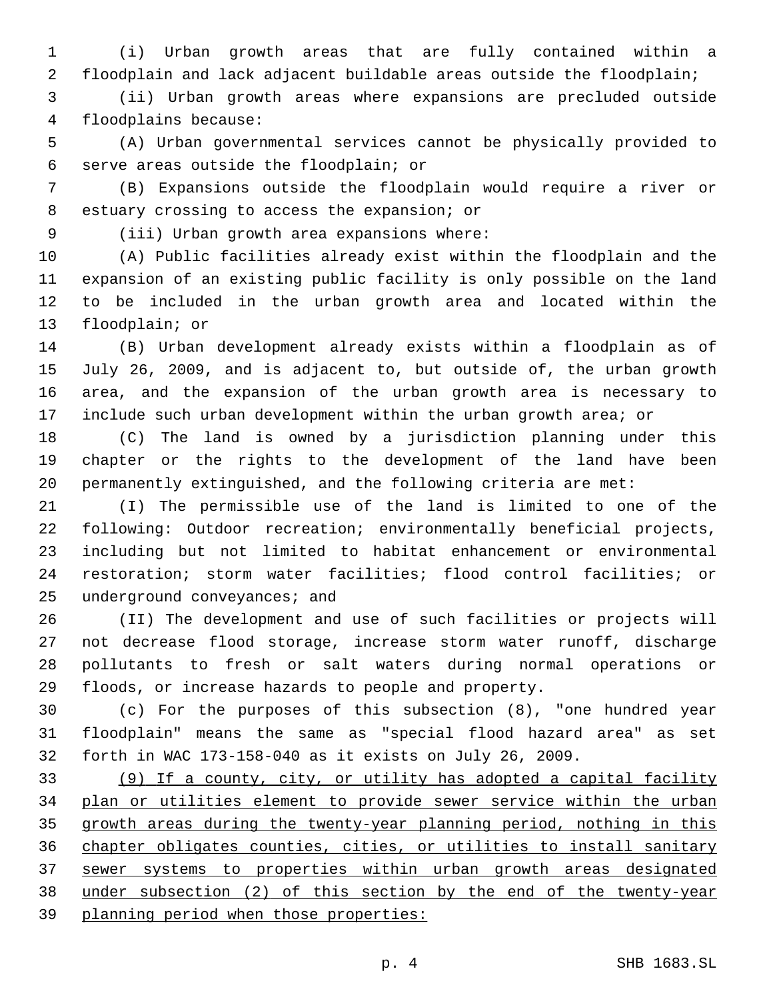(i) Urban growth areas that are fully contained within a floodplain and lack adjacent buildable areas outside the floodplain;

 (ii) Urban growth areas where expansions are precluded outside floodplains because:4

 (A) Urban governmental services cannot be physically provided to 6 serve areas outside the floodplain; or

 (B) Expansions outside the floodplain would require a river or 8 estuary crossing to access the expansion; or

9 (iii) Urban growth area expansions where:

 (A) Public facilities already exist within the floodplain and the expansion of an existing public facility is only possible on the land to be included in the urban growth area and located within the 13 floodplain; or

 (B) Urban development already exists within a floodplain as of July 26, 2009, and is adjacent to, but outside of, the urban growth area, and the expansion of the urban growth area is necessary to include such urban development within the urban growth area; or

 (C) The land is owned by a jurisdiction planning under this chapter or the rights to the development of the land have been permanently extinguished, and the following criteria are met:

 (I) The permissible use of the land is limited to one of the following: Outdoor recreation; environmentally beneficial projects, including but not limited to habitat enhancement or environmental restoration; storm water facilities; flood control facilities; or 25 underground conveyances; and

 (II) The development and use of such facilities or projects will not decrease flood storage, increase storm water runoff, discharge pollutants to fresh or salt waters during normal operations or floods, or increase hazards to people and property.

 (c) For the purposes of this subsection (8), "one hundred year floodplain" means the same as "special flood hazard area" as set forth in WAC 173-158-040 as it exists on July 26, 2009.

 (9) If a county, city, or utility has adopted a capital facility plan or utilities element to provide sewer service within the urban growth areas during the twenty-year planning period, nothing in this 36 chapter obligates counties, cities, or utilities to install sanitary sewer systems to properties within urban growth areas designated under subsection (2) of this section by the end of the twenty-year planning period when those properties: